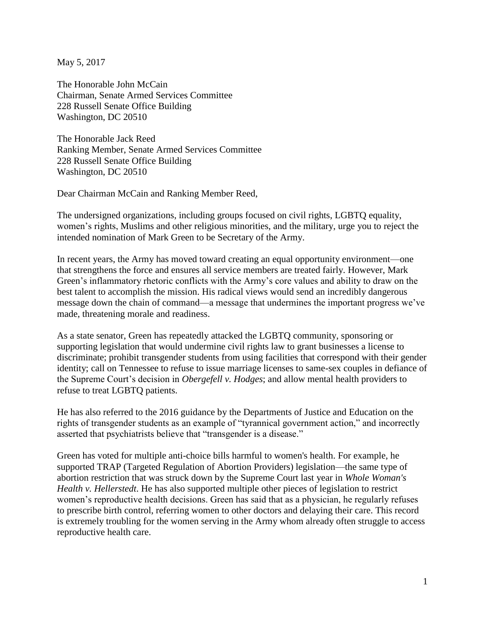May 5, 2017

The Honorable John McCain Chairman, Senate Armed Services Committee 228 Russell Senate Office Building Washington, DC 20510

The Honorable Jack Reed Ranking Member, Senate Armed Services Committee 228 Russell Senate Office Building Washington, DC 20510

Dear Chairman McCain and Ranking Member Reed,

The undersigned organizations, including groups focused on civil rights, LGBTQ equality, women's rights, Muslims and other religious minorities, and the military, urge you to reject the intended nomination of Mark Green to be Secretary of the Army.

In recent years, the Army has moved toward creating an equal opportunity environment—one that strengthens the force and ensures all service members are treated fairly. However, Mark Green's inflammatory rhetoric conflicts with the Army's core values and ability to draw on the best talent to accomplish the mission. His radical views would send an incredibly dangerous message down the chain of command—a message that undermines the important progress we've made, threatening morale and readiness.

As a state senator, Green has repeatedly attacked the LGBTQ community, sponsoring or supporting legislation that would undermine civil rights law to grant businesses a license to discriminate; prohibit transgender students from using facilities that correspond with their gender identity; call on Tennessee to refuse to issue marriage licenses to same-sex couples in defiance of the Supreme Court's decision in *Obergefell v. Hodges*; and allow mental health providers to refuse to treat LGBTQ patients.

He has also referred to the 2016 guidance by the Departments of Justice and Education on the rights of transgender students as an example of "tyrannical government action," and incorrectly asserted that psychiatrists believe that "transgender is a disease."

Green has voted for multiple anti-choice bills harmful to women's health. For example, he supported TRAP (Targeted Regulation of Abortion Providers) legislation—the same type of abortion restriction that was struck down by the Supreme Court last year in *Whole Woman's Health v. Hellerstedt*. He has also supported multiple other pieces of legislation to restrict women's reproductive health decisions. Green has said that as a physician, he regularly refuses to prescribe birth control, referring women to other doctors and delaying their care. This record is extremely troubling for the women serving in the Army whom already often struggle to access reproductive health care.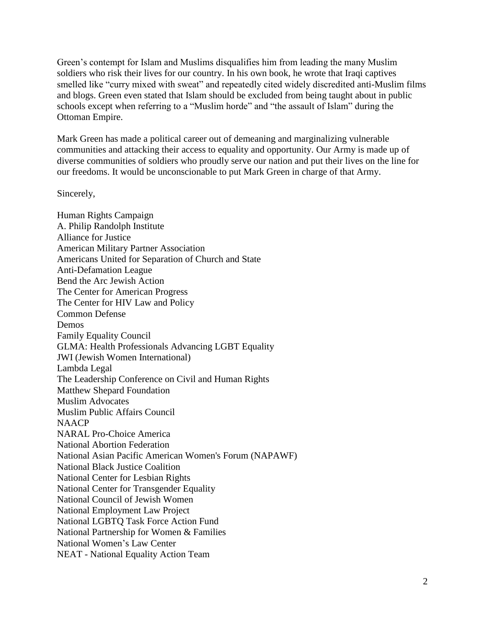Green's contempt for Islam and Muslims disqualifies him from leading the many Muslim soldiers who risk their lives for our country. In his own book, he wrote that Iraqi captives smelled like "curry mixed with sweat" and repeatedly cited widely discredited anti-Muslim films and blogs. Green even stated that Islam should be excluded from being taught about in public schools except when referring to a "Muslim horde" and "the assault of Islam" during the Ottoman Empire.

Mark Green has made a political career out of demeaning and marginalizing vulnerable communities and attacking their access to equality and opportunity. Our Army is made up of diverse communities of soldiers who proudly serve our nation and put their lives on the line for our freedoms. It would be unconscionable to put Mark Green in charge of that Army.

Sincerely,

Human Rights Campaign A. Philip Randolph Institute Alliance for Justice American Military Partner Association Americans United for Separation of Church and State Anti-Defamation League Bend the Arc Jewish Action The Center for American Progress The Center for HIV Law and Policy Common Defense Demos Family Equality Council GLMA: Health Professionals Advancing LGBT Equality JWI (Jewish Women International) Lambda Legal The Leadership Conference on Civil and Human Rights Matthew Shepard Foundation Muslim Advocates Muslim Public Affairs Council NAACP NARAL Pro-Choice America National Abortion Federation National Asian Pacific American Women's Forum (NAPAWF) National Black Justice Coalition National Center for Lesbian Rights National Center for Transgender Equality National Council of Jewish Women National Employment Law Project National LGBTQ Task Force Action Fund National Partnership for Women & Families National Women's Law Center NEAT - National Equality Action Team